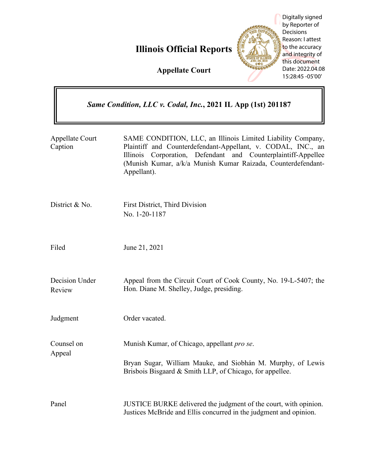|                                                              | Digitally signed<br>by Reporter of<br>Decisions<br>Reason: I attest<br>to the accuracy<br><b>Illinois Official Reports</b><br>and integrity of<br>this document<br>Date: 2022.04.08<br><b>Appellate Court</b><br>15:28:45 -05'00'                                              |
|--------------------------------------------------------------|--------------------------------------------------------------------------------------------------------------------------------------------------------------------------------------------------------------------------------------------------------------------------------|
| Same Condition, LLC v. Codal, Inc., 2021 IL App (1st) 201187 |                                                                                                                                                                                                                                                                                |
| <b>Appellate Court</b><br>Caption                            | SAME CONDITION, LLC, an Illinois Limited Liability Company,<br>Plaintiff and Counterdefendant-Appellant, v. CODAL, INC., an<br>Corporation, Defendant and Counterplaintiff-Appellee<br>Illinois<br>(Munish Kumar, a/k/a Munish Kumar Raizada, Counterdefendant-<br>Appellant). |
| District & No.                                               | First District, Third Division<br>No. 1-20-1187                                                                                                                                                                                                                                |
| Filed                                                        | June 21, 2021                                                                                                                                                                                                                                                                  |
| Decision Under<br>Review                                     | Appeal from the Circuit Court of Cook County, No. 19-L-5407; the<br>Hon. Diane M. Shelley, Judge, presiding.                                                                                                                                                                   |
| Judgment                                                     | Order vacated.                                                                                                                                                                                                                                                                 |
| Counsel on<br>Appeal                                         | Munish Kumar, of Chicago, appellant <i>pro se</i> .<br>Bryan Sugar, William Mauke, and Siobhán M. Murphy, of Lewis<br>Brisbois Bisgaard & Smith LLP, of Chicago, for appellee.                                                                                                 |
| Panel                                                        | JUSTICE BURKE delivered the judgment of the court, with opinion.<br>Justices McBride and Ellis concurred in the judgment and opinion.                                                                                                                                          |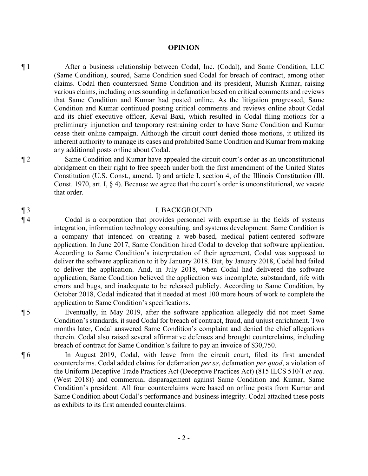#### **OPINION**

¶ 1 After a business relationship between Codal, Inc. (Codal), and Same Condition, LLC (Same Condition), soured, Same Condition sued Codal for breach of contract, among other claims. Codal then countersued Same Condition and its president, Munish Kumar, raising various claims, including ones sounding in defamation based on critical comments and reviews that Same Condition and Kumar had posted online. As the litigation progressed, Same Condition and Kumar continued posting critical comments and reviews online about Codal and its chief executive officer, Keval Baxi, which resulted in Codal filing motions for a preliminary injunction and temporary restraining order to have Same Condition and Kumar cease their online campaign. Although the circuit court denied those motions, it utilized its inherent authority to manage its cases and prohibited Same Condition and Kumar from making any additional posts online about Codal.

¶ 2 Same Condition and Kumar have appealed the circuit court's order as an unconstitutional abridgment on their right to free speech under both the first amendment of the United States Constitution (U.S. Const., amend. I) and article I, section 4, of the Illinois Constitution (Ill. Const. 1970, art. I,  $\S$  4). Because we agree that the court's order is unconstitutional, we vacate that order.

### ¶ 3 I. BACKGROUND

¶ 4 Codal is a corporation that provides personnel with expertise in the fields of systems integration, information technology consulting, and systems development. Same Condition is a company that intended on creating a web-based, medical patient-centered software application. In June 2017, Same Condition hired Codal to develop that software application. According to Same Condition's interpretation of their agreement, Codal was supposed to deliver the software application to it by January 2018. But, by January 2018, Codal had failed to deliver the application. And, in July 2018, when Codal had delivered the software application, Same Condition believed the application was incomplete, substandard, rife with errors and bugs, and inadequate to be released publicly. According to Same Condition, by October 2018, Codal indicated that it needed at most 100 more hours of work to complete the application to Same Condition's specifications.

¶ 5 Eventually, in May 2019, after the software application allegedly did not meet Same Condition's standards, it sued Codal for breach of contract, fraud, and unjust enrichment. Two months later, Codal answered Same Condition's complaint and denied the chief allegations therein. Codal also raised several affirmative defenses and brought counterclaims, including breach of contract for Same Condition's failure to pay an invoice of \$30,750.

¶ 6 In August 2019, Codal, with leave from the circuit court, filed its first amended counterclaims. Codal added claims for defamation *per se*, defamation *per quod*, a violation of the Uniform Deceptive Trade Practices Act (Deceptive Practices Act) (815 ILCS 510/1 *et seq.* (West 2018)) and commercial disparagement against Same Condition and Kumar, Same Condition's president. All four counterclaims were based on online posts from Kumar and Same Condition about Codal's performance and business integrity. Codal attached these posts as exhibits to its first amended counterclaims.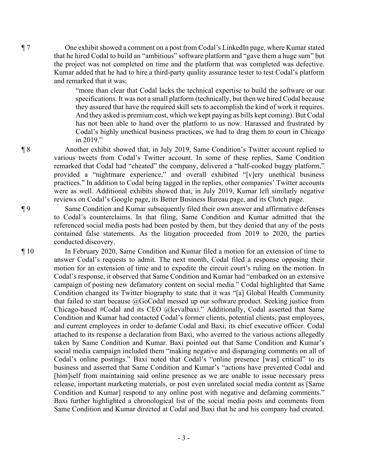¶ 7 One exhibit showed a comment on a post from Codal's LinkedIn page, where Kumar stated that he hired Codal to build an "ambitious" software platform and "gave them a huge sum" but the project was not completed on time and the platform that was completed was defective. Kumar added that he had to hire a third-party quality assurance tester to test Codal's platform and remarked that it was:

> "more than clear that Codal lacks the technical expertise to build the software or our specifications. It was not a small platform (technically, but then we hired Codal because they assured that have the required skill sets to accomplish the kind of work it requires. And they asked is premium cost, which we kept paying as bills kept coming). But Codal has not been able to hand over the platform to us now. Harassed and frustrated by Codal's highly unethical business practices, we had to drag them to court in Chicago in 2019."

¶ 8 Another exhibit showed that, in July 2019, Same Condition's Twitter account replied to various tweets from Codal's Twitter account. In some of these replies, Same Condition remarked that Codal had "cheated" the company, delivered a "half-cooked buggy platform," provided a "nightmare experience," and overall exhibited "[v]ery unethical business practices." In addition to Codal being tagged in the replies, other companies' Twitter accounts were as well. Additional exhibits showed that, in July 2019, Kumar left similarly negative reviews on Codal's Google page, its Better Business Bureau page, and its Clutch page.

¶ 9 Same Condition and Kumar subsequently filed their own answer and affirmative defenses to Codal's counterclaims. In that filing, Same Condition and Kumar admitted that the referenced social media posts had been posted by them, but they denied that any of the posts contained false statements. As the litigation proceeded from 2019 to 2020, the parties conducted discovery.

¶ 10 In February 2020, Same Condition and Kumar filed a motion for an extension of time to answer Codal's requests to admit. The next month, Codal filed a response opposing their motion for an extension of time and to expedite the circuit court's ruling on the motion. In Codal's response, it observed that Same Condition and Kumar had "embarked on an extensive campaign of posting new defamatory content on social media." Codal highlighted that Same Condition changed its Twitter biography to state that it was "[a] Global Health Community that failed to start because  $@$ GoCodal messed up our software product. Seeking justice from Chicago-based #Codal and its CEO @kevalbaxi." Additionally, Codal asserted that Same Condition and Kumar had contacted Codal's former clients, potential clients, past employees, and current employees in order to defame Codal and Baxi, its chief executive officer. Codal attached to its response a declaration from Baxi, who averred to the various actions allegedly taken by Same Condition and Kumar. Baxi pointed out that Same Condition and Kumar's social media campaign included them "making negative and disparaging comments on all of Codal's online postings." Baxi noted that Codal's "online presence [was] critical" to its business and asserted that Same Condition and Kumar's "actions have prevented Codal and [him]self from maintaining said online presence as we are unable to issue necessary press release, important marketing materials, or post even unrelated social media content as [Same Condition and Kumar] respond to any online post with negative and defaming comments." Baxi further highlighted a chronological list of the social media posts and comments from Same Condition and Kumar directed at Codal and Baxi that he and his company had created.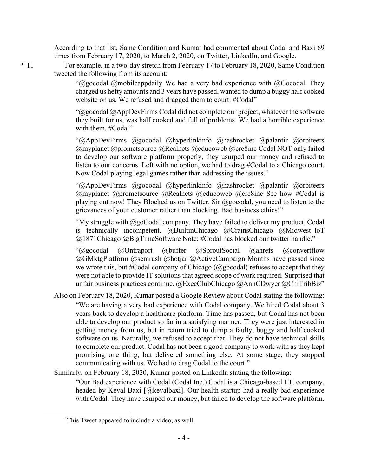According to that list, Same Condition and Kumar had commented about Codal and Baxi 69 times from February 17, 2020, to March 2, 2020, on Twitter, LinkedIn, and Google.

¶ 11 For example, in a two-day stretch from February 17 to February 18, 2020, Same Condition tweeted the following from its account:

> " $@$ gocodal  $@$ mobileappdaily We had a very bad experience with  $@$ Gocodal. They charged us hefty amounts and 3 years have passed, wanted to dump a buggy half cooked website on us. We refused and dragged them to court. #Codal"

> " $@$ gocodal  $@$ AppDevFirms Codal did not complete our project, whatever the software they built for us, was half cooked and full of problems. We had a horrible experience with them. #Codal"

> "@AppDevFirms @gocodal @hyperlinkinfo @hashrocket @palantir @orbiteers @myplanet @prometsource @Realnets @educoweb @cre8inc Codal NOT only failed to develop our software platform properly, they usurped our money and refused to listen to our concerns. Left with no option, we had to drag #Codal to a Chicago court. Now Codal playing legal games rather than addressing the issues."

> "@AppDevFirms @gocodal @hyperlinkinfo @hashrocket @palantir @orbiteers  $(a)$ myplanet  $(a)$ prometsource  $(a)$ Realnets  $(a)$ educoweb  $(a)$ cre8inc See how #Codal is playing out now! They Blocked us on Twitter. Sir  $\omega$  gocodal, you need to listen to the grievances of your customer rather than blocking. Bad business ethics!"

> "My struggle with  $@$ goCodal company. They have failed to deliver my product. Codal is technically incompetent. @BuiltinChicago @CrainsChicago @Midwest loT  $@1871$ Chicago  $@$ BigTimeSoftware Note: #Codal has blocked our twitter handle."<sup>1</sup>

> "@gocodal @Ontraport @buffer @SproutSocial @ahrefs @convertflow @GMktgPlatform @semrush @hotjar @ActiveCampaign Months have passed since we wrote this, but #Codal company of Chicago (@gocodal) refuses to accept that they were not able to provide IT solutions that agreed scope of work required. Surprised that unfair business practices continue. @ExecClubChicago @AnnCDwyer @ChiTribBiz"

- Also on February 18, 2020, Kumar posted a Google Review about Codal stating the following: "We are having a very bad experience with Codal company. We hired Codal about 3 years back to develop a healthcare platform. Time has passed, but Codal has not been able to develop our product so far in a satisfying manner. They were just interested in getting money from us, but in return tried to dump a faulty, buggy and half cooked software on us. Naturally, we refused to accept that. They do not have technical skills to complete our product. Codal has not been a good company to work with as they kept promising one thing, but delivered something else. At some stage, they stopped communicating with us. We had to drag Codal to the court."
- Similarly, on February 18, 2020, Kumar posted on LinkedIn stating the following:

"Our Bad experience with Codal (Codal Inc.) Codal is a Chicago-based I.T. company, headed by Keval Baxi [@kevalbaxi]. Our health startup had a really bad experience with Codal. They have usurped our money, but failed to develop the software platform.

<sup>&</sup>lt;sup>1</sup>This Tweet appeared to include a video, as well.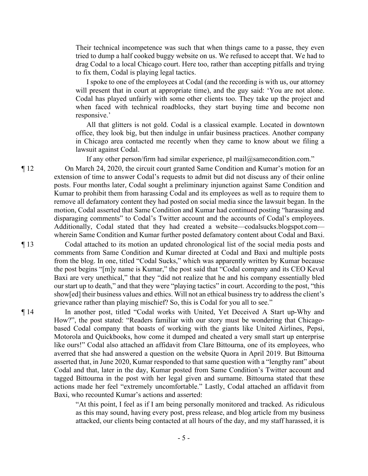Their technical incompetence was such that when things came to a passe, they even tried to dump a half cooked buggy website on us. We refused to accept that. We had to drag Codal to a local Chicago court. Here too, rather than accepting pitfalls and trying to fix them, Codal is playing legal tactics.

I spoke to one of the employees at Codal (and the recording is with us, our attorney will present that in court at appropriate time), and the guy said: 'You are not alone. Codal has played unfairly with some other clients too. They take up the project and when faced with technical roadblocks, they start buying time and become non responsive.'

All that glitters is not gold. Codal is a classical example. Located in downtown office, they look big, but then indulge in unfair business practices. Another company in Chicago area contacted me recently when they came to know about we filing a lawsuit against Codal.

If any other person/firm had similar experience, pl mail@samecondition.com."

¶ 12 On March 24, 2020, the circuit court granted Same Condition and Kumar's motion for an extension of time to answer Codal's requests to admit but did not discuss any of their online posts. Four months later, Codal sought a preliminary injunction against Same Condition and Kumar to prohibit them from harassing Codal and its employees as well as to require them to remove all defamatory content they had posted on social media since the lawsuit began. In the motion, Codal asserted that Same Condition and Kumar had continued posting "harassing and disparaging comments" to Codal's Twitter account and the accounts of Codal's employees. Additionally, Codal stated that they had created a website—codalsucks.blogspot.com wherein Same Condition and Kumar further posted defamatory content about Codal and Baxi.

¶ 13 Codal attached to its motion an updated chronological list of the social media posts and comments from Same Condition and Kumar directed at Codal and Baxi and multiple posts from the blog. In one, titled "Codal Sucks," which was apparently written by Kumar because the post begins "[m]y name is Kumar," the post said that "Codal company and its CEO Keval Baxi are very unethical," that they "did not realize that he and his company essentially bled our start up to death," and that they were "playing tactics" in court. According to the post, "this show[ed] their business values and ethics. Will not an ethical business try to address the client's grievance rather than playing mischief? So, this is Codal for you all to see."

¶ 14 In another post, titled "Codal works with United, Yet Deceived A Start up-Why and How?", the post stated: "Readers familiar with our story must be wondering that Chicagobased Codal company that boasts of working with the giants like United Airlines, Pepsi, Motorola and Quickbooks, how come it dumped and cheated a very small start up enterprise like ours!" Codal also attached an affidavit from Clare Bittourna, one of its employees, who averred that she had answered a question on the website Quora in April 2019. But Bittourna asserted that, in June 2020, Kumar responded to that same question with a "lengthy rant" about Codal and that, later in the day, Kumar posted from Same Condition's Twitter account and tagged Bittourna in the post with her legal given and surname. Bittourna stated that these actions made her feel "extremely uncomfortable." Lastly, Codal attached an affidavit from Baxi, who recounted Kumar's actions and asserted:

> "At this point, I feel as if I am being personally monitored and tracked. As ridiculous as this may sound, having every post, press release, and blog article from my business attacked, our clients being contacted at all hours of the day, and my staff harassed, it is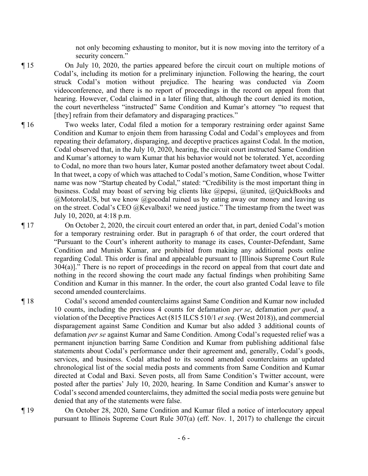not only becoming exhausting to monitor, but it is now moving into the territory of a security concern."

¶ 15 On July 10, 2020, the parties appeared before the circuit court on multiple motions of Codal's, including its motion for a preliminary injunction. Following the hearing, the court struck Codal's motion without prejudice. The hearing was conducted via Zoom videoconference, and there is no report of proceedings in the record on appeal from that hearing. However, Codal claimed in a later filing that, although the court denied its motion, the court nevertheless "instructed" Same Condition and Kumar's attorney "to request that [they] refrain from their defamatory and disparaging practices."

¶ 16 Two weeks later, Codal filed a motion for a temporary restraining order against Same Condition and Kumar to enjoin them from harassing Codal and Codal's employees and from repeating their defamatory, disparaging, and deceptive practices against Codal. In the motion, Codal observed that, in the July 10, 2020, hearing, the circuit court instructed Same Condition and Kumar's attorney to warn Kumar that his behavior would not be tolerated. Yet, according to Codal, no more than two hours later, Kumar posted another defamatory tweet about Codal. In that tweet, a copy of which was attached to Codal's motion, Same Condition, whose Twitter name was now "Startup cheated by Codal," stated: "Credibility is the most important thing in business. Codal may boast of serving big clients like @pepsi, @united, @QuickBooks and  $@$ MotorolaUS, but we know  $@$ gocodal ruined us by eating away our money and leaving us on the street. Codal's CEO @Kevalbaxi! we need justice." The timestamp from the tweet was July 10, 2020, at 4:18 p.m.

¶ 17 On October 2, 2020, the circuit court entered an order that, in part, denied Codal's motion for a temporary restraining order. But in paragraph 6 of that order, the court ordered that "Pursuant to the Court's inherent authority to manage its cases, Counter-Defendant, Same Condition and Munish Kumar, are prohibited from making any additional posts online regarding Codal. This order is final and appealable pursuant to [Illinois Supreme Court Rule 304(a)]." There is no report of proceedings in the record on appeal from that court date and nothing in the record showing the court made any factual findings when prohibiting Same Condition and Kumar in this manner. In the order, the court also granted Codal leave to file second amended counterclaims.

¶ 18 Codal's second amended counterclaims against Same Condition and Kumar now included 10 counts, including the previous 4 counts for defamation *per se*, defamation *per quod*, a violation of the Deceptive Practices Act (815 ILCS 510/1 *et seq.* (West 2018)), and commercial disparagement against Same Condition and Kumar but also added 3 additional counts of defamation *per se* against Kumar and Same Condition. Among Codal's requested relief was a permanent injunction barring Same Condition and Kumar from publishing additional false statements about Codal's performance under their agreement and, generally, Codal's goods, services, and business. Codal attached to its second amended counterclaims an updated chronological list of the social media posts and comments from Same Condition and Kumar directed at Codal and Baxi. Seven posts, all from Same Condition's Twitter account, were posted after the parties' July 10, 2020, hearing. In Same Condition and Kumar's answer to Codal's second amended counterclaims, they admitted the social media posts were genuine but denied that any of the statements were false.

¶ 19 On October 28, 2020, Same Condition and Kumar filed a notice of interlocutory appeal pursuant to Illinois Supreme Court Rule 307(a) (eff. Nov. 1, 2017) to challenge the circuit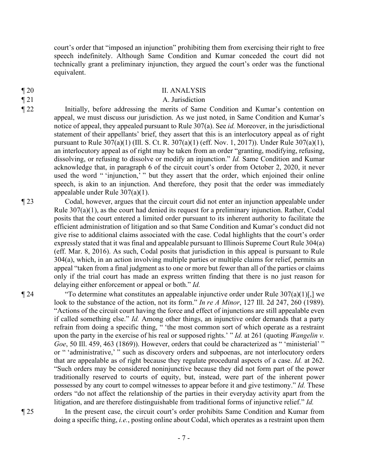court's order that "imposed an injunction" prohibiting them from exercising their right to free speech indefinitely. Although Same Condition and Kumar conceded the court did not technically grant a preliminary injunction, they argued the court's order was the functional equivalent.

### ¶ 20 II. ANALYSIS

## ¶ 21 A. Jurisdiction

¶ 22 Initially, before addressing the merits of Same Condition and Kumar's contention on appeal, we must discuss our jurisdiction. As we just noted, in Same Condition and Kumar's notice of appeal, they appealed pursuant to Rule 307(a). See *id.* Moreover, in the jurisdictional statement of their appellants' brief, they assert that this is an interlocutory appeal as of right pursuant to Rule 307(a)(1) (Ill. S. Ct. R. 307(a)(1) (eff. Nov. 1, 2017)). Under Rule 307(a)(1), an interlocutory appeal as of right may be taken from an order "granting, modifying, refusing, dissolving, or refusing to dissolve or modify an injunction." *Id.* Same Condition and Kumar acknowledge that, in paragraph 6 of the circuit court's order from October 2, 2020, it never used the word " 'injunction,' " but they assert that the order, which enjoined their online speech, is akin to an injunction. And therefore, they posit that the order was immediately appealable under Rule 307(a)(1).

¶ 23 Codal, however, argues that the circuit court did not enter an injunction appealable under Rule 307(a)(1), as the court had denied its request for a preliminary injunction. Rather, Codal posits that the court entered a limited order pursuant to its inherent authority to facilitate the efficient administration of litigation and so that Same Condition and Kumar's conduct did not give rise to additional claims associated with the case. Codal highlights that the court's order expressly stated that it was final and appealable pursuant to Illinois Supreme Court Rule 304(a) (eff. Mar. 8, 2016). As such, Codal posits that jurisdiction in this appeal is pursuant to Rule 304(a), which, in an action involving multiple parties or multiple claims for relief, permits an appeal "taken from a final judgment as to one or more but fewer than all of the parties or claims only if the trial court has made an express written finding that there is no just reason for delaying either enforcement or appeal or both." *Id.* 

 $\P$  24 "To determine what constitutes an appealable injunctive order under Rule 307(a)(1)[,] we look to the substance of the action, not its form." *In re A Minor*, 127 Ill. 2d 247, 260 (1989). "Actions of the circuit court having the force and effect of injunctions are still appealable even if called something else." *Id.* Among other things, an injunctive order demands that a party refrain from doing a specific thing, " 'the most common sort of which operate as a restraint upon the party in the exercise of his real or supposed rights.' " *Id.* at 261 (quoting *Wangelin v. Goe*, 50 Ill. 459, 463 (1869)). However, orders that could be characterized as " 'ministerial' " or " 'administrative,' " such as discovery orders and subpoenas, are not interlocutory orders that are appealable as of right because they regulate procedural aspects of a case. *Id.* at 262. "Such orders may be considered noninjunctive because they did not form part of the power traditionally reserved to courts of equity, but, instead, were part of the inherent power possessed by any court to compel witnesses to appear before it and give testimony." *Id.* These orders "do not affect the relationship of the parties in their everyday activity apart from the litigation, and are therefore distinguishable from traditional forms of injunctive relief." *Id.*

¶ 25 In the present case, the circuit court's order prohibits Same Condition and Kumar from doing a specific thing, *i.e.*, posting online about Codal, which operates as a restraint upon them

- 
-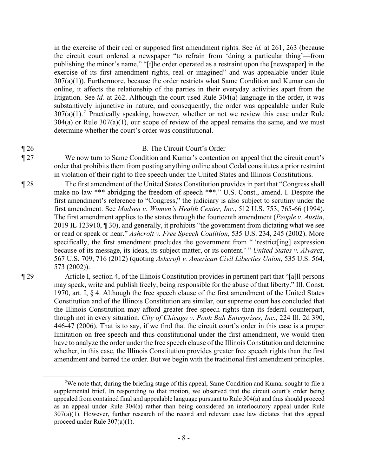in the exercise of their real or supposed first amendment rights. See *id.* at 261, 263 (because the circuit court ordered a newspaper "to refrain from 'doing a particular thing'—from publishing the minor's name," "[t]he order operated as a restraint upon the [newspaper] in the exercise of its first amendment rights, real or imagined" and was appealable under Rule  $307(a)(1)$ ). Furthermore, because the order restricts what Same Condition and Kumar can do online, it affects the relationship of the parties in their everyday activities apart from the litigation. See *id.* at 262. Although the court used Rule 304(a) language in the order, it was substantively injunctive in nature, and consequently, the order was appealable under Rule  $307(a)(1)$ .<sup>2</sup> Practically speaking, however, whether or not we review this case under Rule  $304(a)$  or Rule  $307(a)(1)$ , our scope of review of the appeal remains the same, and we must determine whether the court's order was constitutional.

### ¶ 26 B. The Circuit Court's Order

¶ 27 We now turn to Same Condition and Kumar's contention on appeal that the circuit court's order that prohibits them from posting anything online about Codal constitutes a prior restraint in violation of their right to free speech under the United States and Illinois Constitutions.

¶ 28 The first amendment of the United States Constitution provides in part that "Congress shall make no law \*\*\* abridging the freedom of speech \*\*\*." U.S. Const., amend. I. Despite the first amendment's reference to "Congress," the judiciary is also subject to scrutiny under the first amendment. See *Madsen v. Women's Health Center, Inc.*, 512 U.S. 753, 765-66 (1994). The first amendment applies to the states through the fourteenth amendment (*People v. Austin*, 2019 IL 123910, ¶ 30), and generally, it prohibits "the government from dictating what we see or read or speak or hear." *Ashcroft v. Free Speech Coalition*, 535 U.S. 234, 245 (2002). More specifically, the first amendment precludes the government from " 'restrict[ing] expression because of its message, its ideas, its subject matter, or its content.' " *United States v. Alvarez*, 567 U.S. 709, 716 (2012) (quoting *Ashcroft v. American Civil Liberties Union*, 535 U.S. 564, 573 (2002)).

¶ 29 Article I, section 4, of the Illinois Constitution provides in pertinent part that "[a]ll persons may speak, write and publish freely, being responsible for the abuse of that liberty." Ill. Const. 1970, art. I,  $\S$  4. Although the free speech clause of the first amendment of the United States Constitution and of the Illinois Constitution are similar, our supreme court has concluded that the Illinois Constitution may afford greater free speech rights than its federal counterpart, though not in every situation. *City of Chicago v. Pooh Bah Enterprises, Inc.*, 224 Ill. 2d 390, 446-47 (2006). That is to say, if we find that the circuit court's order in this case is a proper limitation on free speech and thus constitutional under the first amendment, we would then have to analyze the order under the free speech clause of the Illinois Constitution and determine whether, in this case, the Illinois Constitution provides greater free speech rights than the first amendment and barred the order. But we begin with the traditional first amendment principles.

<sup>&</sup>lt;sup>2</sup>We note that, during the briefing stage of this appeal, Same Condition and Kumar sought to file a supplemental brief. In responding to that motion, we observed that the circuit court's order being appealed from contained final and appealable language pursuant to Rule 304(a) and thus should proceed as an appeal under Rule 304(a) rather than being considered an interlocutory appeal under Rule 307(a)(1). However, further research of the record and relevant case law dictates that this appeal proceed under Rule 307(a)(1).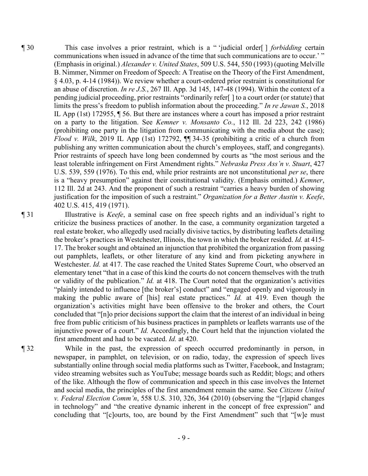¶ 30 This case involves a prior restraint, which is a " 'judicial order[ ] *forbidding* certain communications when issued in advance of the time that such communications are to occur.' " (Emphasis in original.) *Alexander v. United States*, 509 U.S. 544, 550 (1993) (quoting Melville B. Nimmer, Nimmer on Freedom of Speech: A Treatise on the Theory of the First Amendment, § 4.03, p. 4-14 (1984)). We review whether a court-ordered prior restraint is constitutional for an abuse of discretion. *In re J.S.*, 267 Ill. App. 3d 145, 147-48 (1994). Within the context of a pending judicial proceeding, prior restraints "ordinarily refer[ ] to a court order (or statute) that limits the press's freedom to publish information about the proceeding." *In re Jawan S.*, 2018 IL App (1st) 172955, ¶ 56. But there are instances where a court has imposed a prior restraint on a party to the litigation. See *Kemner v. Monsanto Co.*, 112 Ill. 2d 223, 242 (1986) (prohibiting one party in the litigation from communicating with the media about the case); *Flood v. Wilk*, 2019 IL App (1st) 172792, ¶¶ 34-35 (prohibiting a critic of a church from publishing any written communication about the church's employees, staff, and congregants). Prior restraints of speech have long been condemned by courts as "the most serious and the least tolerable infringement on First Amendment rights." *Nebraska Press Ass'n v. Stuart*, 427 U.S. 539, 559 (1976). To this end, while prior restraints are not unconstitutional *per se*, there is a "heavy presumption" against their constitutional validity. (Emphasis omitted.) *Kemner*, 112 Ill. 2d at 243. And the proponent of such a restraint "carries a heavy burden of showing justification for the imposition of such a restraint." *Organization for a Better Austin v. Keefe*, 402 U.S. 415, 419 (1971).

¶ 31 Illustrative is *Keefe*, a seminal case on free speech rights and an individual's right to criticize the business practices of another. In the case, a community organization targeted a real estate broker, who allegedly used racially divisive tactics, by distributing leaflets detailing the broker's practices in Westchester, Illinois, the town in which the broker resided. *Id.* at 415- 17. The broker sought and obtained an injunction that prohibited the organization from passing out pamphlets, leaflets, or other literature of any kind and from picketing anywhere in Westchester. *Id.* at 417. The case reached the United States Supreme Court, who observed an elementary tenet "that in a case of this kind the courts do not concern themselves with the truth or validity of the publication." *Id.* at 418. The Court noted that the organization's activities "plainly intended to influence [the broker's] conduct" and "engaged openly and vigorously in making the public aware of [his] real estate practices." *Id.* at 419. Even though the organization's activities might have been offensive to the broker and others, the Court concluded that "[n]o prior decisions support the claim that the interest of an individual in being free from public criticism of his business practices in pamphlets or leaflets warrants use of the injunctive power of a court." *Id.* Accordingly, the Court held that the injunction violated the first amendment and had to be vacated. *Id.* at 420.

¶ 32 While in the past, the expression of speech occurred predominantly in person, in newspaper, in pamphlet, on television, or on radio, today, the expression of speech lives substantially online through social media platforms such as Twitter, Facebook, and Instagram; video streaming websites such as YouTube; message boards such as Reddit; blogs; and others of the like. Although the flow of communication and speech in this case involves the Internet and social media, the principles of the first amendment remain the same. See *Citizens United v. Federal Election Comm'n*, 558 U.S. 310, 326, 364 (2010) (observing the "[r]apid changes in technology" and "the creative dynamic inherent in the concept of free expression" and concluding that "[c]ourts, too, are bound by the First Amendment" such that "[w]e must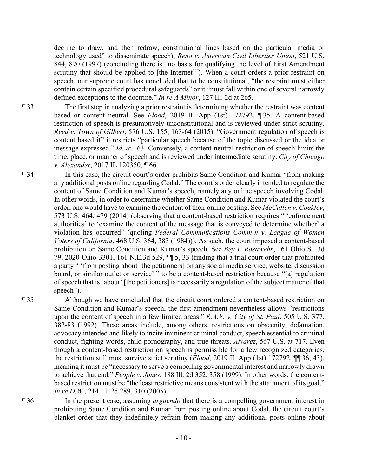decline to draw, and then redraw, constitutional lines based on the particular media or technology used" to disseminate speech); *Reno v. American Civil Liberties Union*, 521 U.S. 844, 870 (1997) (concluding there is "no basis for qualifying the level of First Amendment scrutiny that should be applied to [the Internet]"). When a court orders a prior restraint on speech, our supreme court has concluded that to be constitutional, "the restraint must either contain certain specified procedural safeguards" or it "must fall within one of several narrowly defined exceptions to the doctrine." *In re A Minor*, 127 Ill. 2d at 265.

¶ 33 The first step in analyzing a prior restraint is determining whether the restraint was content based or content neutral. See *Flood*, 2019 IL App (1st) 172792, ¶ 35. A content-based restriction of speech is presumptively unconstitutional and is reviewed under strict scrutiny. *Reed v. Town of Gilbert*, 576 U.S. 155, 163-64 (2015). "Government regulation of speech is content based if" it restricts "particular speech because of the topic discussed or the idea or message expressed." *Id.* at 163. Conversely, a content-neutral restriction of speech limits the time, place, or manner of speech and is reviewed under intermediate scrutiny. *City of Chicago v. Alexander*, 2017 IL 120350, ¶ 66.

¶ 34 In this case, the circuit court's order prohibits Same Condition and Kumar "from making any additional posts online regarding Codal." The court's order clearly intended to regulate the content of Same Condition and Kumar's speech, namely any online speech involving Codal. In other words, in order to determine whether Same Condition and Kumar violated the court's order, one would have to examine the content of their online posting. See *McCullen v. Coakley*, 573 U.S. 464, 479 (2014) (observing that a content-based restriction requires " 'enforcement authorities' to 'examine the content of the message that is conveyed to determine whether' a violation has occurred" (quoting *Federal Communications Comm'n v. League of Women Voters of California*, 468 U.S. 364, 383 (1984))). As such, the court imposed a content-based prohibition on Same Condition and Kumar's speech. See *Bey v. Rasawehr*, 161 Ohio St. 3d 79, 2020-Ohio-3301, 161 N.E.3d 529, ¶¶ 5, 33 (finding that a trial court order that prohibited a party " 'from posting about [the petitioners] on any social media service, website, discussion board, or similar outlet or service' " to be a content-based restriction because "[a] regulation of speech that is 'about' [the petitioners] is necessarily a regulation of the subject matter of that speech").

¶ 35 Although we have concluded that the circuit court ordered a content-based restriction on Same Condition and Kumar's speech, the first amendment nevertheless allows "restrictions upon the content of speech in a few limited areas." *R.A.V. v. City of St. Paul*, 505 U.S. 377, 382-83 (1992). These areas include, among others, restrictions on obscenity, defamation, advocacy intended and likely to incite imminent criminal conduct, speech essential to criminal conduct, fighting words, child pornography, and true threats. *Alvarez*, 567 U.S. at 717. Even though a content-based restriction on speech is permissible for a few recognized categories, the restriction still must survive strict scrutiny (*Flood*, 2019 IL App (1st) 172792, ¶¶ 36, 43), meaning it must be "necessary to serve a compelling governmental interest and narrowly drawn to achieve that end." *People v. Jones*, 188 Ill. 2d 352, 358 (1999). In other words, the contentbased restriction must be "the least restrictive means consistent with the attainment of its goal." *In re D.W.*, 214 Ill. 2d 289, 310 (2005).

¶ 36 In the present case, assuming *arguendo* that there is a compelling government interest in prohibiting Same Condition and Kumar from posting online about Codal, the circuit court's blanket order that they indefinitely refrain from making any additional posts online about

 $-10-$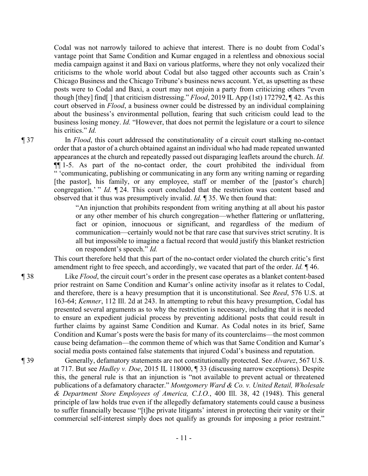Codal was not narrowly tailored to achieve that interest. There is no doubt from Codal's vantage point that Same Condition and Kumar engaged in a relentless and obnoxious social media campaign against it and Baxi on various platforms, where they not only vocalized their criticisms to the whole world about Codal but also tagged other accounts such as Crain's Chicago Business and the Chicago Tribune's business news account. Yet, as upsetting as these posts were to Codal and Baxi, a court may not enjoin a party from criticizing others "even though [they] find[ ] that criticism distressing." *Flood*, 2019 IL App (1st) 172792, ¶ 42. As this court observed in *Flood*, a business owner could be distressed by an individual complaining about the business's environmental pollution, fearing that such criticism could lead to the business losing money. *Id.* "However, that does not permit the legislature or a court to silence his critics." *Id.*

¶ 37 In *Flood*, this court addressed the constitutionality of a circuit court stalking no-contact order that a pastor of a church obtained against an individual who had made repeated unwanted appearances at the church and repeatedly passed out disparaging leaflets around the church. *Id.*  ¶¶ 1-5. As part of the no-contact order, the court prohibited the individual from " 'communicating, publishing or communicating in any form any writing naming or regarding [the pastor], his family, or any employee, staff or member of the [pastor's church] congregation.' " *Id.*  $\P$  24. This court concluded that the restriction was content based and observed that it thus was presumptively invalid. *Id.* ¶ 35. We then found that:

> "An injunction that prohibits respondent from writing anything at all about his pastor or any other member of his church congregation—whether flattering or unflattering, fact or opinion, innocuous or significant, and regardless of the medium of communication—certainly would not be that rare case that survives strict scrutiny. It is all but impossible to imagine a factual record that would justify this blanket restriction on respondent's speech." *Id.*

This court therefore held that this part of the no-contact order violated the church critic's first amendment right to free speech, and accordingly, we vacated that part of the order. *Id.* ¶ 46.

- ¶ 38 Like *Flood*, the circuit court's order in the present case operates as a blanket content-based prior restraint on Same Condition and Kumar's online activity insofar as it relates to Codal, and therefore, there is a heavy presumption that it is unconstitutional. See *Reed*, 576 U.S. at 163-64; *Kemner*, 112 Ill. 2d at 243. In attempting to rebut this heavy presumption, Codal has presented several arguments as to why the restriction is necessary, including that it is needed to ensure an expedient judicial process by preventing additional posts that could result in further claims by against Same Condition and Kumar. As Codal notes in its brief, Same Condition and Kumar's posts were the basis for many of its counterclaims—the most common cause being defamation—the common theme of which was that Same Condition and Kumar's social media posts contained false statements that injured Codal's business and reputation.
- ¶ 39 Generally, defamatory statements are not constitutionally protected. See *Alvarez*, 567 U.S. at 717. But see *Hadley v. Doe*, 2015 IL 118000, ¶ 33 (discussing narrow exceptions). Despite this, the general rule is that an injunction is "not available to prevent actual or threatened publications of a defamatory character." *Montgomery Ward & Co. v. United Retail, Wholesale & Department Store Employees of America, C.I.O.*, 400 Ill. 38, 42 (1948). This general principle of law holds true even if the allegedly defamatory statements could cause a business to suffer financially because "[t]he private litigants' interest in protecting their vanity or their commercial self-interest simply does not qualify as grounds for imposing a prior restraint."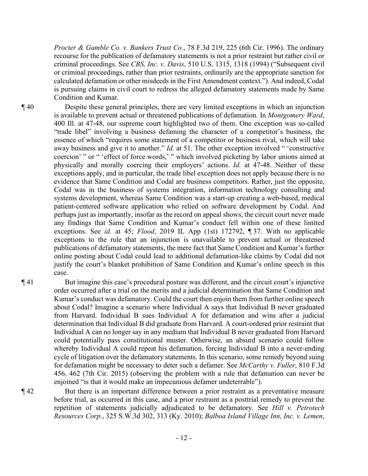*Procter & Gamble Co. v. Bankers Trust Co.*, 78 F.3d 219, 225 (6th Cir. 1996). The ordinary recourse for the publication of defamatory statements is not a prior restraint but rather civil or criminal proceedings. See *CBS, Inc. v. Davis*, 510 U.S. 1315, 1318 (1994) ("Subsequent civil or criminal proceedings, rather than prior restraints, ordinarily are the appropriate sanction for calculated defamation or other misdeeds in the First Amendment context."). And indeed, Codal is pursuing claims in civil court to redress the alleged defamatory statements made by Same Condition and Kumar.

¶ 40 Despite these general principles, there are very limited exceptions in which an injunction is available to prevent actual or threatened publications of defamation. In *Montgomery Ward*, 400 Ill. at 47-48, our supreme court highlighted two of them. One exception was so-called "trade libel" involving a business defaming the character of a competitor's business, the essence of which "requires some statement of a competitor or business rival, which will take away business and give it to another." *Id.* at 51. The other exception involved " 'constructive coercion' " or " 'effect of force words,' " which involved picketing by labor unions aimed at physically and morally coercing their employers' actions. *Id.* at 47-48. Neither of these exceptions apply, and in particular, the trade libel exception does not apply because there is no evidence that Same Condition and Codal are business competitors. Rather, just the opposite, Codal was in the business of systems integration, information technology consulting and systems development, whereas Same Condition was a start-up creating a web-based, medical patient-centered software application who relied on software development by Codal. And perhaps just as importantly, insofar as the record on appeal shows, the circuit court never made any findings that Same Condition and Kumar's conduct fell within one of these limited exceptions. See *id.* at 45; *Flood*, 2019 IL App (1st) 172792, ¶ 37. With no applicable exceptions to the rule that an injunction is unavailable to prevent actual or threatened publications of defamatory statements, the mere fact that Same Condition and Kumar's further online posting about Codal could lead to additional defamation-like claims by Codal did not justify the court's blanket prohibition of Same Condition and Kumar's online speech in this case.

¶ 41 But imagine this case's procedural posture was different, and the circuit court's injunctive order occurred after a trial on the merits and a judicial determination that Same Condition and Kumar's conduct was defamatory. Could the court then enjoin them from further online speech about Codal? Imagine a scenario where Individual A says that Individual B never graduated from Harvard. Individual B sues Individual A for defamation and wins after a judicial determination that Individual B did graduate from Harvard. A court-ordered prior restraint that Individual A can no longer say in any medium that Individual B never graduated from Harvard could potentially pass constitutional muster. Otherwise, an absurd scenario could follow whereby Individual A could repeat his defamation, forcing Individual B into a never-ending cycle of litigation over the defamatory statements. In this scenario, some remedy beyond suing for defamation might be necessary to deter such a defamer. See *McCarthy v. Fuller*, 810 F.3d 456, 462 (7th Cir. 2015) (observing the problem with a rule that defamation can never be enjoined "is that it would make an impecunious defamer undeterrable").

¶ 42 But there is an important difference between a prior restraint as a preventative measure before trial, as occurred in this case, and a prior restraint as a posttrial remedy to prevent the repetition of statements judicially adjudicated to be defamatory. See *Hill v. Petrotech Resources Corp.*, 325 S.W.3d 302, 313 (Ky. 2010); *Balboa Island Village Inn, Inc. v. Lemen*,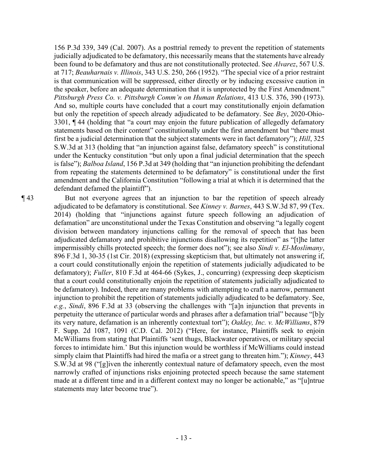156 P.3d 339, 349 (Cal. 2007). As a posttrial remedy to prevent the repetition of statements judicially adjudicated to be defamatory, this necessarily means that the statements have already been found to be defamatory and thus are not constitutionally protected. See *Alvarez*, 567 U.S. at 717; *Beauharnais v. Illinois*, 343 U.S. 250, 266 (1952). "The special vice of a prior restraint is that communication will be suppressed, either directly or by inducing excessive caution in the speaker, before an adequate determination that it is unprotected by the First Amendment." *Pittsburgh Press Co. v. Pittsburgh Comm'n on Human Relations*, 413 U.S. 376, 390 (1973). And so, multiple courts have concluded that a court may constitutionally enjoin defamation but only the repetition of speech already adjudicated to be defamatory. See *Bey*, 2020-Ohio-3301, ¶ 44 (holding that "a court may enjoin the future publication of allegedly defamatory statements based on their content" constitutionally under the first amendment but "there must first be a judicial determination that the subject statements were in fact defamatory"); *Hill*, 325 S.W.3d at 313 (holding that "an injunction against false, defamatory speech" is constitutional under the Kentucky constitution "but only upon a final judicial determination that the speech is false"); *Balboa Island*, 156 P.3d at 349 (holding that "an injunction prohibiting the defendant from repeating the statements determined to be defamatory" is constitutional under the first amendment and the California Constitution "following a trial at which it is determined that the defendant defamed the plaintiff").

¶ 43 But not everyone agrees that an injunction to bar the repetition of speech already adjudicated to be defamatory is constitutional. See *Kinney v. Barnes*, 443 S.W.3d 87, 99 (Tex. 2014) (holding that "injunctions against future speech following an adjudication of defamation" are unconstitutional under the Texas Constitution and observing "a legally cogent division between mandatory injunctions calling for the removal of speech that has been adjudicated defamatory and prohibitive injunctions disallowing its repetition" as "[t]he latter impermissibly chills protected speech; the former does not"); see also *Sindi v. El-Moslimany*, 896 F.3d 1, 30-35 (1st Cir. 2018) (expressing skepticism that, but ultimately not answering if, a court could constitutionally enjoin the repetition of statements judicially adjudicated to be defamatory); *Fuller*, 810 F.3d at 464-66 (Sykes, J., concurring) (expressing deep skepticism that a court could constitutionally enjoin the repetition of statements judicially adjudicated to be defamatory). Indeed, there are many problems with attempting to craft a narrow, permanent injunction to prohibit the repetition of statements judicially adjudicated to be defamatory. See, *e.g.*, *Sindi*, 896 F.3d at 33 (observing the challenges with "[a]n injunction that prevents in perpetuity the utterance of particular words and phrases after a defamation trial" because "[b]y its very nature, defamation is an inherently contextual tort"); *Oakley, Inc. v. McWilliams*, 879 F. Supp. 2d 1087, 1091 (C.D. Cal. 2012) ("Here, for instance, Plaintiffs seek to enjoin McWilliams from stating that Plaintiffs 'sent thugs, Blackwater operatives, or military special forces to intimidate him.' But this injunction would be worthless if McWilliams could instead simply claim that Plaintiffs had hired the mafia or a street gang to threaten him."); *Kinney*, 443 S.W.3d at 98 ("[g]iven the inherently contextual nature of defamatory speech, even the most narrowly crafted of injunctions risks enjoining protected speech because the same statement made at a different time and in a different context may no longer be actionable," as "[u]ntrue statements may later become true").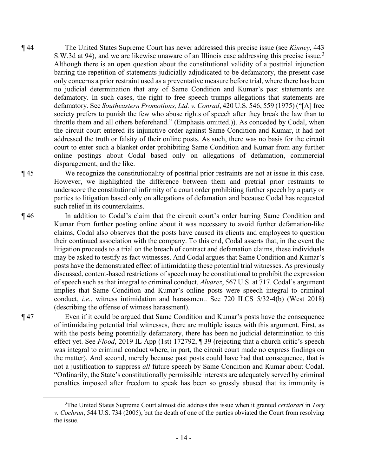¶ 44 The United States Supreme Court has never addressed this precise issue (see *Kinney*, 443 S.W.3d at 94), and we are likewise unaware of an Illinois case addressing this precise issue.<sup>3</sup> Although there is an open question about the constitutional validity of a posttrial injunction barring the repetition of statements judicially adjudicated to be defamatory, the present case only concerns a prior restraint used as a preventative measure before trial, where there has been no judicial determination that any of Same Condition and Kumar's past statements are defamatory. In such cases, the right to free speech trumps allegations that statements are defamatory. See *Southeastern Promotions, Ltd. v. Conrad*, 420 U.S. 546, 559 (1975) ("[A] free society prefers to punish the few who abuse rights of speech after they break the law than to throttle them and all others beforehand." (Emphasis omitted.)). As conceded by Codal, when the circuit court entered its injunctive order against Same Condition and Kumar, it had not addressed the truth or falsity of their online posts. As such, there was no basis for the circuit court to enter such a blanket order prohibiting Same Condition and Kumar from any further online postings about Codal based only on allegations of defamation, commercial disparagement, and the like.

¶ 45 We recognize the constitutionality of posttrial prior restraints are not at issue in this case. However, we highlighted the difference between them and pretrial prior restraints to underscore the constitutional infirmity of a court order prohibiting further speech by a party or parties to litigation based only on allegations of defamation and because Codal has requested such relief in its counterclaims.

¶ 46 In addition to Codal's claim that the circuit court's order barring Same Condition and Kumar from further posting online about it was necessary to avoid further defamation-like claims, Codal also observes that the posts have caused its clients and employees to question their continued association with the company. To this end, Codal asserts that, in the event the litigation proceeds to a trial on the breach of contract and defamation claims, these individuals may be asked to testify as fact witnesses. And Codal argues that Same Condition and Kumar's posts have the demonstrated effect of intimidating these potential trial witnesses. As previously discussed, content-based restrictions of speech may be constitutional to prohibit the expression of speech such as that integral to criminal conduct. *Alvarez*, 567 U.S. at 717. Codal's argument implies that Same Condition and Kumar's online posts were speech integral to criminal conduct, *i.e.*, witness intimidation and harassment. See 720 ILCS 5/32-4(b) (West 2018) (describing the offense of witness harassment).

¶ 47 Even if it could be argued that Same Condition and Kumar's posts have the consequence of intimidating potential trial witnesses, there are multiple issues with this argument. First, as with the posts being potentially defamatory, there has been no judicial determination to this effect yet. See *Flood*, 2019 IL App (1st) 172792, ¶ 39 (rejecting that a church critic's speech was integral to criminal conduct where, in part, the circuit court made no express findings on the matter). And second, merely because past posts could have had that consequence, that is not a justification to suppress *all* future speech by Same Condition and Kumar about Codal. "Ordinarily, the State's constitutionally permissible interests are adequately served by criminal penalties imposed after freedom to speak has been so grossly abused that its immunity is

<sup>3</sup> The United States Supreme Court almost did address this issue when it granted *certiorari* in *Tory v. Cochran*, 544 U.S. 734 (2005), but the death of one of the parties obviated the Court from resolving the issue.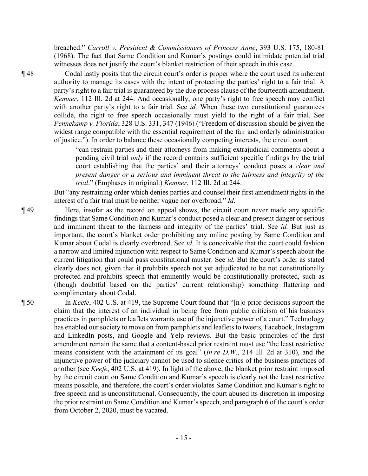breached." *Carroll v. President & Commissioners of Princess Anne*, 393 U.S. 175, 180-81 (1968). The fact that Same Condition and Kumar's postings could intimidate potential trial witnesses does not justify the court's blanket restriction of their speech in this case.

¶ 48 Codal lastly posits that the circuit court's order is proper where the court used its inherent authority to manage its cases with the intent of protecting the parties' right to a fair trial. A party's right to a fair trial is guaranteed by the due process clause of the fourteenth amendment. *Kemner*, 112 Ill. 2d at 244. And occasionally, one party's right to free speech may conflict with another party's right to a fair trial. See *id.* When these two constitutional guarantees collide, the right to free speech occasionally must yield to the right of a fair trial. See *Pennekamp v. Florida*, 328 U.S. 331, 347 (1946) ("Freedom of discussion should be given the widest range compatible with the essential requirement of the fair and orderly administration of justice."). In order to balance these occasionally competing interests, the circuit court

> "can restrain parties and their attorneys from making extrajudicial comments about a pending civil trial *only* if the record contains sufficient specific findings by the trial court establishing that the parties' and their attorneys' conduct poses a *clear and present danger or a serious and imminent threat to the fairness and integrity of the trial*." (Emphases in original.) *Kemner*, 112 Ill. 2d at 244.

But "any restraining order which denies parties and counsel their first amendment rights in the interest of a fair trial must be neither vague nor overbroad." *Id.* 

¶ 49 Here, insofar as the record on appeal shows, the circuit court never made any specific findings that Same Condition and Kumar's conduct posed a clear and present danger or serious and imminent threat to the fairness and integrity of the parties' trial. See *id.* But just as important, the court's blanket order prohibiting any online posting by Same Condition and Kumar about Codal is clearly overbroad. See *id.* It is conceivable that the court could fashion a narrow and limited injunction with respect to Same Condition and Kumar's speech about the current litigation that could pass constitutional muster. See *id.* But the court's order as stated clearly does not, given that it prohibits speech not yet adjudicated to be not constitutionally protected and prohibits speech that eminently would be constitutionally protected, such as (though doubtful based on the parties' current relationship) something flattering and complimentary about Codal.

¶ 50 In *Keefe*, 402 U.S. at 419, the Supreme Court found that "[n]o prior decisions support the claim that the interest of an individual in being free from public criticism of his business practices in pamphlets or leaflets warrants use of the injunctive power of a court." Technology has enabled our society to move on from pamphlets and leaflets to tweets, Facebook, Instagram and LinkedIn posts, and Google and Yelp reviews. But the basic principles of the first amendment remain the same that a content-based prior restraint must use "the least restrictive means consistent with the attainment of its goal" (*In re D.W.*, 214 Ill. 2d at 310), and the injunctive power of the judiciary cannot be used to silence critics of the business practices of another (see *Keefe*, 402 U.S. at 419). In light of the above, the blanket prior restraint imposed by the circuit court on Same Condition and Kumar's speech is clearly not the least restrictive means possible, and therefore, the court's order violates Same Condition and Kumar's right to free speech and is unconstitutional. Consequently, the court abused its discretion in imposing the prior restraint on Same Condition and Kumar's speech, and paragraph 6 of the court's order from October 2, 2020, must be vacated.